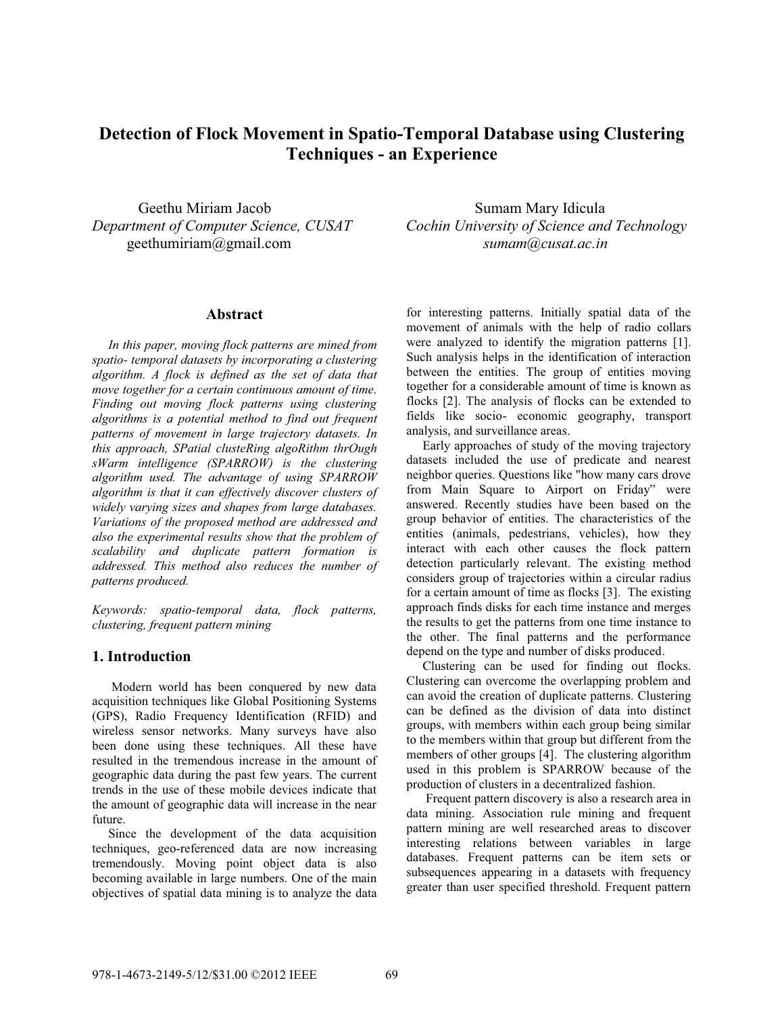# **Detection of Flock Movement in Spatio-Temporal Database using Clustering Techniques - an Experience**

 Geethu Miriam Jacob Sumam Mary Idicula geethumiriam@gmail.com *sumam@cusat.ac.in* 

#### **Abstract**

 *In this paper, moving flock patterns are mined from spatio- temporal datasets by incorporating a clustering algorithm. A flock is defined as the set of data that move together for a certain continuous amount of time. Finding out moving flock patterns using clustering algorithms is a potential method to find out frequent patterns of movement in large trajectory datasets. In this approach, SPatial clusteRing algoRithm thrOugh sWarm intelligence (SPARROW) is the clustering algorithm used. The advantage of using SPARROW algorithm is that it can effectively discover clusters of widely varying sizes and shapes from large databases. Variations of the proposed method are addressed and also the experimental results show that the problem of scalability and duplicate pattern formation is addressed. This method also reduces the number of patterns produced.* 

*Keywords: spatio-temporal data, flock patterns, clustering, frequent pattern mining* 

# **1. Introduction**

 Modern world has been conquered by new data acquisition techniques like Global Positioning Systems (GPS), Radio Frequency Identification (RFID) and wireless sensor networks. Many surveys have also been done using these techniques. All these have resulted in the tremendous increase in the amount of geographic data during the past few years. The current trends in the use of these mobile devices indicate that the amount of geographic data will increase in the near future.

 Since the development of the data acquisition techniques, geo-referenced data are now increasing tremendously. Moving point object data is also becoming available in large numbers. One of the main objectives of spatial data mining is to analyze the data

*Department of Computer Science, CUSAT Cochin University of Science and Technology* 

for interesting patterns. Initially spatial data of the movement of animals with the help of radio collars were analyzed to identify the migration patterns [1]. Such analysis helps in the identification of interaction between the entities. The group of entities moving together for a considerable amount of time is known as flocks [2]. The analysis of flocks can be extended to fields like socio- economic geography, transport analysis, and surveillance areas.

 Early approaches of study of the moving trajectory datasets included the use of predicate and nearest neighbor queries. Questions like "how many cars drove from Main Square to Airport on Friday" were answered. Recently studies have been based on the group behavior of entities. The characteristics of the entities (animals, pedestrians, vehicles), how they interact with each other causes the flock pattern detection particularly relevant. The existing method considers group of trajectories within a circular radius for a certain amount of time as flocks [3]. The existing approach finds disks for each time instance and merges the results to get the patterns from one time instance to the other. The final patterns and the performance depend on the type and number of disks produced.

 Clustering can be used for finding out flocks. Clustering can overcome the overlapping problem and can avoid the creation of duplicate patterns. Clustering can be defined as the division of data into distinct groups, with members within each group being similar to the members within that group but different from the members of other groups [4]. The clustering algorithm used in this problem is SPARROW because of the production of clusters in a decentralized fashion.

 Frequent pattern discovery is also a research area in data mining. Association rule mining and frequent pattern mining are well researched areas to discover interesting relations between variables in large databases. Frequent patterns can be item sets or subsequences appearing in a datasets with frequency greater than user specified threshold. Frequent pattern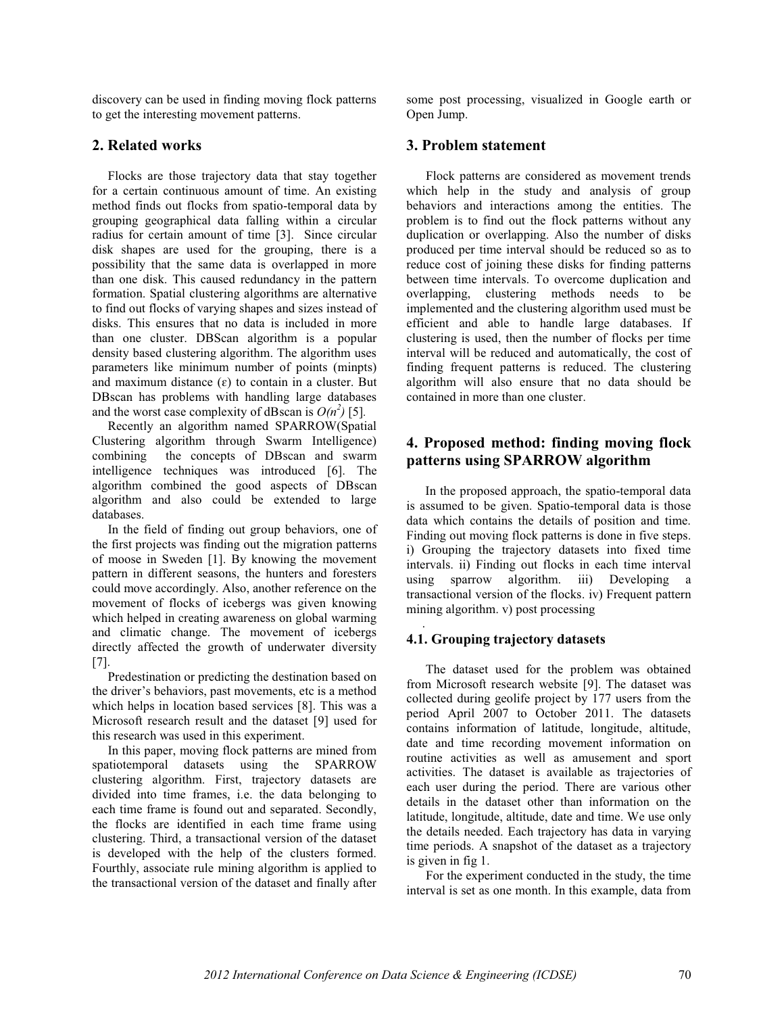discovery can be used in finding moving flock patterns to get the interesting movement patterns.

# **2. Related works**

Flocks are those trajectory data that stay together for a certain continuous amount of time. An existing method finds out flocks from spatio-temporal data by grouping geographical data falling within a circular radius for certain amount of time [3]. Since circular disk shapes are used for the grouping, there is a possibility that the same data is overlapped in more than one disk. This caused redundancy in the pattern formation. Spatial clustering algorithms are alternative to find out flocks of varying shapes and sizes instead of disks. This ensures that no data is included in more than one cluster. DBScan algorithm is a popular density based clustering algorithm. The algorithm uses parameters like minimum number of points (minpts) and maximum distance  $(\varepsilon)$  to contain in a cluster. But DBscan has problems with handling large databases and the worst case complexity of dBscan is  $O(n^2)$  [5].

Recently an algorithm named SPARROW(Spatial Clustering algorithm through Swarm Intelligence) combining the concepts of DBscan and swarm intelligence techniques was introduced [6]. The algorithm combined the good aspects of DBscan algorithm and also could be extended to large databases.

In the field of finding out group behaviors, one of the first projects was finding out the migration patterns of moose in Sweden [1]. By knowing the movement pattern in different seasons, the hunters and foresters could move accordingly. Also, another reference on the movement of flocks of icebergs was given knowing which helped in creating awareness on global warming and climatic change. The movement of icebergs directly affected the growth of underwater diversity [7].

Predestination or predicting the destination based on the driver's behaviors, past movements, etc is a method which helps in location based services [8]. This was a Microsoft research result and the dataset [9] used for this research was used in this experiment.

In this paper, moving flock patterns are mined from spatiotemporal datasets using the SPARROW clustering algorithm. First, trajectory datasets are divided into time frames, i.e. the data belonging to each time frame is found out and separated. Secondly, the flocks are identified in each time frame using clustering. Third, a transactional version of the dataset is developed with the help of the clusters formed. Fourthly, associate rule mining algorithm is applied to the transactional version of the dataset and finally after

some post processing, visualized in Google earth or Open Jump.

# **3. Problem statement**

 Flock patterns are considered as movement trends which help in the study and analysis of group behaviors and interactions among the entities. The problem is to find out the flock patterns without any duplication or overlapping. Also the number of disks produced per time interval should be reduced so as to reduce cost of joining these disks for finding patterns between time intervals. To overcome duplication and overlapping, clustering methods needs to be implemented and the clustering algorithm used must be efficient and able to handle large databases. If clustering is used, then the number of flocks per time interval will be reduced and automatically, the cost of finding frequent patterns is reduced. The clustering algorithm will also ensure that no data should be contained in more than one cluster.

# **4. Proposed method: finding moving flock patterns using SPARROW algorithm**

 In the proposed approach, the spatio-temporal data is assumed to be given. Spatio-temporal data is those data which contains the details of position and time. Finding out moving flock patterns is done in five steps. i) Grouping the trajectory datasets into fixed time intervals. ii) Finding out flocks in each time interval using sparrow algorithm. iii) Developing a transactional version of the flocks. iv) Frequent pattern mining algorithm. v) post processing

# **4.1. Grouping trajectory datasets**

.

 The dataset used for the problem was obtained from Microsoft research website [9]. The dataset was collected during geolife project by 177 users from the period April 2007 to October 2011. The datasets contains information of latitude, longitude, altitude, date and time recording movement information on routine activities as well as amusement and sport activities. The dataset is available as trajectories of each user during the period. There are various other details in the dataset other than information on the latitude, longitude, altitude, date and time. We use only the details needed. Each trajectory has data in varying time periods. A snapshot of the dataset as a trajectory is given in fig 1.

 For the experiment conducted in the study, the time interval is set as one month. In this example, data from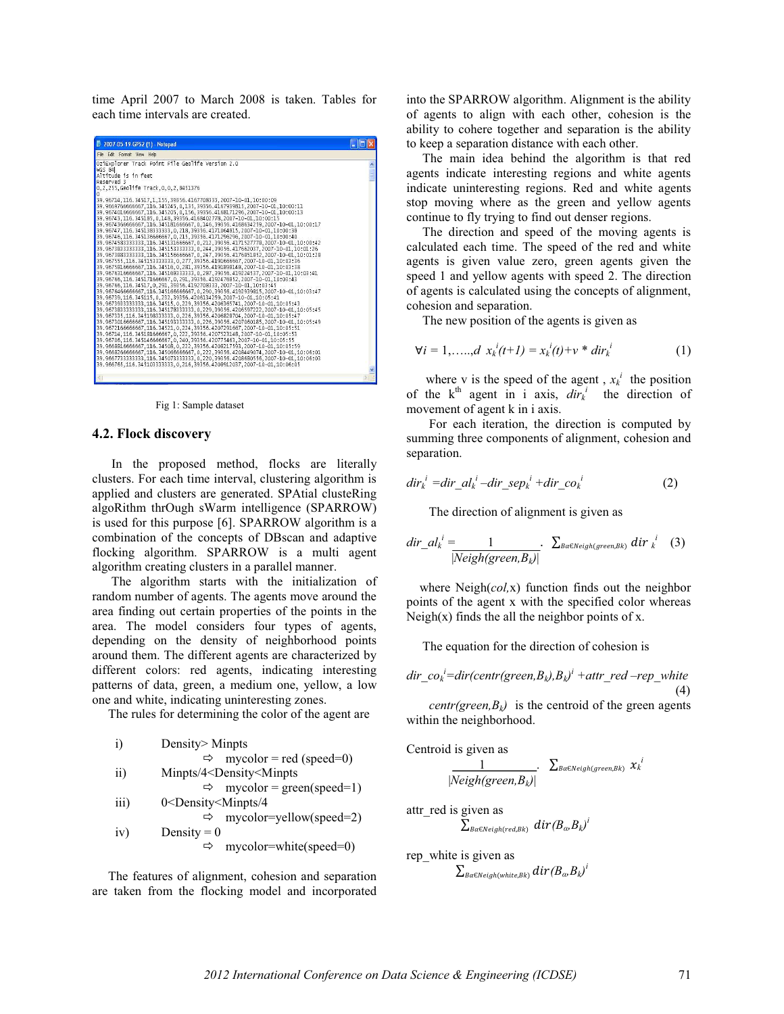time April 2007 to March 2008 is taken. Tables for each time intervals are created.



Fig 1: Sample dataset

### **4.2. Flock discovery**

 In the proposed method, flocks are literally clusters. For each time interval, clustering algorithm is applied and clusters are generated. SPAtial clusteRing algoRithm thrOugh sWarm intelligence (SPARROW) is used for this purpose [6]. SPARROW algorithm is a combination of the concepts of DBscan and adaptive flocking algorithm. SPARROW is a multi agent algorithm creating clusters in a parallel manner.

 The algorithm starts with the initialization of random number of agents. The agents move around the area finding out certain properties of the points in the area. The model considers four types of agents, depending on the density of neighborhood points around them. The different agents are characterized by different colors: red agents, indicating interesting patterns of data, green, a medium one, yellow, a low one and white, indicating uninteresting zones.

The rules for determining the color of the agent are

\n- i) Density> Minpts
\n- $$
\Rightarrow
$$
 mycolor = red (speed=0)
\n- ii) Minpts/4<-Density\n- $\Rightarrow$  mycolor = green(speed=1)
\n- iii) 0<-Density\n- $\Rightarrow$  mycolor=yellow(speed=2)
\n- iv) Density = 0
\n

$$
\Rightarrow \text{mycolor}=\text{white}(\text{speed}=0)
$$

 The features of alignment, cohesion and separation are taken from the flocking model and incorporated into the SPARROW algorithm. Alignment is the ability of agents to align with each other, cohesion is the ability to cohere together and separation is the ability to keep a separation distance with each other.

 The main idea behind the algorithm is that red agents indicate interesting regions and white agents indicate uninteresting regions. Red and white agents stop moving where as the green and yellow agents continue to fly trying to find out denser regions.

 The direction and speed of the moving agents is calculated each time. The speed of the red and white agents is given value zero, green agents given the speed 1 and yellow agents with speed 2. The direction of agents is calculated using the concepts of alignment, cohesion and separation.

The new position of the agents is given as

$$
\forall i = 1, \dots, d \; x_k^i(t+1) = x_k^i(t) + v^* \; dir_k^i \tag{1}
$$

where v is the speed of the agent,  $x_k^i$  the position of the  $k^{th}$  agent in i axis,  $dir_k^i$  the direction of movement of agent k in i axis.

 For each iteration, the direction is computed by summing three components of alignment, cohesion and separation.

$$
dir_k^i = dir\_al_k^i - dir\_sep_k^i + dir\_co_k^i
$$
 (2)

The direction of alignment is given as

$$
dir\_al_k^{i} = \frac{1}{|Neigh(green,B_k)|} \cdot \sum_{Ba\in Neigh(green,Bk)} dir_k^{i} \quad (3)
$$

 where Neigh(*col,*x) function finds out the neighbor points of the agent x with the specified color whereas Neigh $(x)$  finds the all the neighbor points of x.

The equation for the direction of cohesion is

$$
dir\_co_k^i=dir(centr(green,B_k),B_k)^i + attr\_red-rep\_white
$$
\n(4)

*centr(green,B<sub>k</sub>)* is the centroid of the green agents within the neighborhood.

Centroid is given as

$$
\frac{1}{|Neigh(green, B_k)|} \cdot \sum_{\text{BackNeigh}(green, Bk)} x_k^{\;i}
$$

*i*

attr\_red is given as

$$
-\qquad \sum_{\textit{BacNeigh}(\textit{red},\textit{Bk})} \; dir(\textit{B}_{\alpha},\textit{B}_{k})^{i}
$$

rep\_white is given as

$$
\textstyle \sum_{\textit{BacNeigh}(\textit{white,Bk})} dir(B_\omega B_k)
$$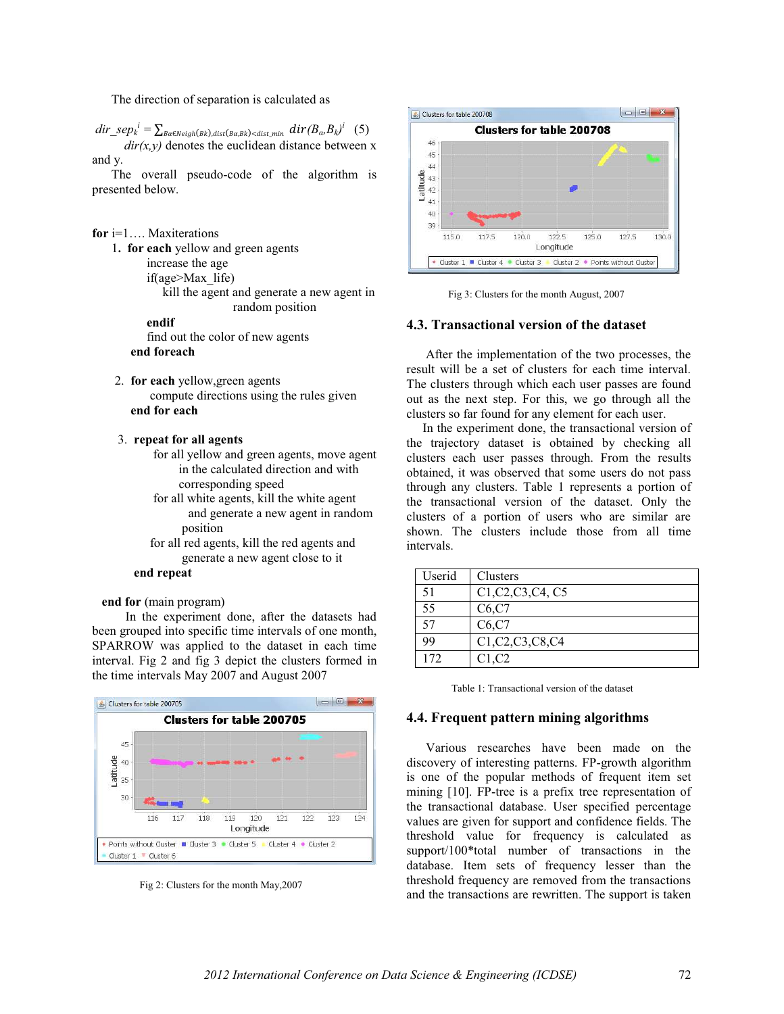The direction of separation is calculated as

 $dir\_sep_k^i = \sum_{\text{BackNeigh}(Bk),\text{dist}(Ba,Bk) < \text{dist\_min}} \text{dir}(B_\omega B_k)^i$  (5)  $dir(x, y)$  denotes the euclidean distance between x and y.

 The overall pseudo-code of the algorithm is presented below.

**for** i=1…. Maxiterations

 1**. for each** yellow and green agents increase the age if(age>Max\_life) kill the agent and generate a new agent in random position

#### **endif**

 find out the color of new agents  **end foreach** 

 2. **for each** yellow,green agents compute directions using the rules given **end for each** 

#### 3. **repeat for all agents**

- for all yellow and green agents, move agent in the calculated direction and with corresponding speed
- for all white agents, kill the white agent and generate a new agent in random position
- for all red agents, kill the red agents and generate a new agent close to it

#### **end repeat**

**end for** (main program)

In the experiment done, after the datasets had been grouped into specific time intervals of one month, SPARROW was applied to the dataset in each time interval. Fig 2 and fig 3 depict the clusters formed in the time intervals May 2007 and August 2007



Fig 2: Clusters for the month May,2007



Fig 3: Clusters for the month August, 2007

#### **4.3. Transactional version of the dataset**

After the implementation of the two processes, the result will be a set of clusters for each time interval. The clusters through which each user passes are found out as the next step. For this, we go through all the clusters so far found for any element for each user.

 In the experiment done, the transactional version of the trajectory dataset is obtained by checking all clusters each user passes through. From the results obtained, it was observed that some users do not pass through any clusters. Table 1 represents a portion of the transactional version of the dataset. Only the clusters of a portion of users who are similar are shown. The clusters include those from all time intervals.

| Userid | Clusters                                                                       |
|--------|--------------------------------------------------------------------------------|
|        | C <sub>1</sub> ,C <sub>2</sub> ,C <sub>3</sub> ,C <sub>4</sub> ,C <sub>5</sub> |
| 55     | C6, C7                                                                         |
| 57     | C6, C7                                                                         |
| 99     | C1, C2, C3, C8, C4                                                             |
| 172    | C1, C2                                                                         |

| Table 1: Transactional version of the dataset |  |  |
|-----------------------------------------------|--|--|
|-----------------------------------------------|--|--|

#### **4.4. Frequent pattern mining algorithms**

 Various researches have been made on the discovery of interesting patterns. FP-growth algorithm is one of the popular methods of frequent item set mining [10]. FP-tree is a prefix tree representation of the transactional database. User specified percentage values are given for support and confidence fields. The threshold value for frequency is calculated as support/100\*total number of transactions in the database. Item sets of frequency lesser than the threshold frequency are removed from the transactions and the transactions are rewritten. The support is taken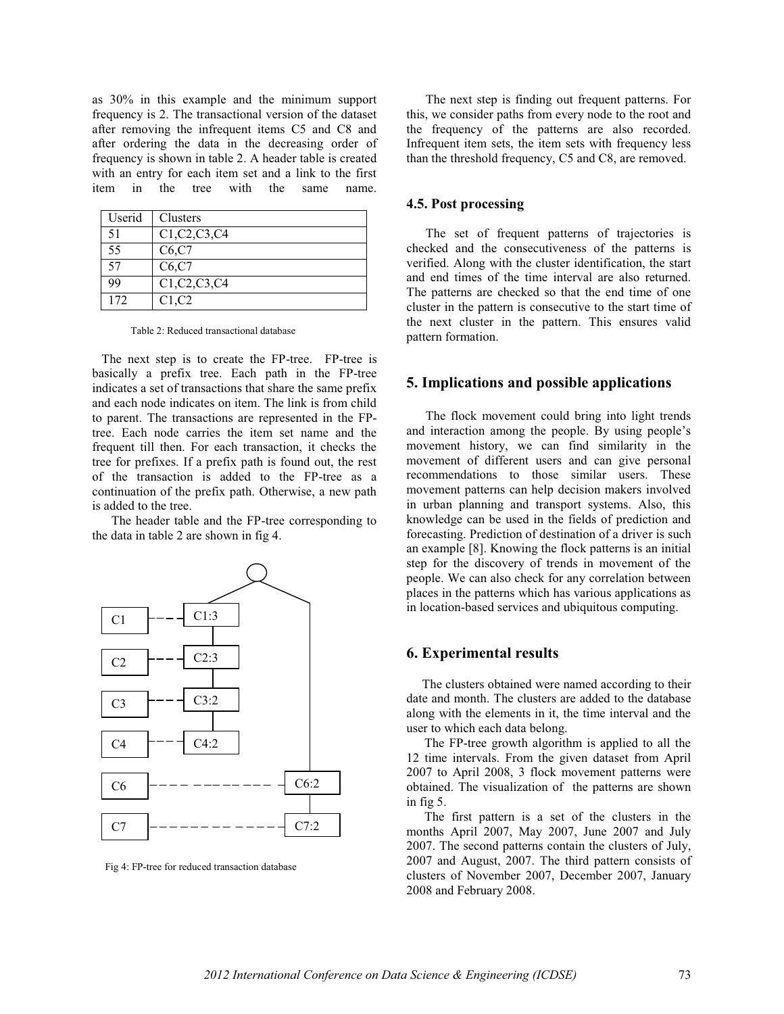as 30% in this example and the minimum support frequency is 2. The transactional version of the dataset after removing the infrequent items C5 and C8 and after ordering the data in the decreasing order of frequency is shown in table 2. A header table is created with an entry for each item set and a link to the first item in the tree with the same name.

| Userid | Clusters       |
|--------|----------------|
| -51    | C1, C2, C3, C4 |
| 55     | C6, C7         |
| -57    | C6, C7         |
| 99     | C1, C2, C3, C4 |
| 172    | C1, C2         |

Table 2: Reduced transactional database

 The next step is to create the FP-tree. FP-tree is basically a prefix tree. Each path in the FP-tree indicates a set of transactions that share the same prefix and each node indicates on item. The link is from child to parent. The transactions are represented in the FPtree. Each node carries the item set name and the frequent till then. For each transaction, it checks the tree for prefixes. If a prefix path is found out, the rest of the transaction is added to the FP-tree as a continuation of the prefix path. Otherwise, a new path is added to the tree.

 The header table and the FP-tree corresponding to the data in table 2 are shown in fig 4.



Fig 4: FP-tree for reduced transaction database

 The next step is finding out frequent patterns. For this, we consider paths from every node to the root and the frequency of the patterns are also recorded. Infrequent item sets, the item sets with frequency less than the threshold frequency, C5 and C8, are removed.

### **4.5. Post processing**

 The set of frequent patterns of trajectories is checked and the consecutiveness of the patterns is verified. Along with the cluster identification, the start and end times of the time interval are also returned. The patterns are checked so that the end time of one cluster in the pattern is consecutive to the start time of the next cluster in the pattern. This ensures valid pattern formation.

#### **5. Implications and possible applications**

The flock movement could bring into light trends and interaction among the people. By using people's movement history, we can find similarity in the movement of different users and can give personal recommendations to those similar users. These movement patterns can help decision makers involved in urban planning and transport systems. Also, this knowledge can be used in the fields of prediction and forecasting. Prediction of destination of a driver is such an example [8]. Knowing the flock patterns is an initial step for the discovery of trends in movement of the people. We can also check for any correlation between places in the patterns which has various applications as in location-based services and ubiquitous computing.

# **6. Experimental results**

The clusters obtained were named according to their date and month. The clusters are added to the database along with the elements in it, the time interval and the user to which each data belong.

 The FP-tree growth algorithm is applied to all the 12 time intervals. From the given dataset from April 2007 to April 2008, 3 flock movement patterns were obtained. The visualization of the patterns are shown in fig 5.

 The first pattern is a set of the clusters in the months April 2007, May 2007, June 2007 and July 2007. The second patterns contain the clusters of July, 2007 and August, 2007. The third pattern consists of clusters of November 2007, December 2007, January 2008 and February 2008.